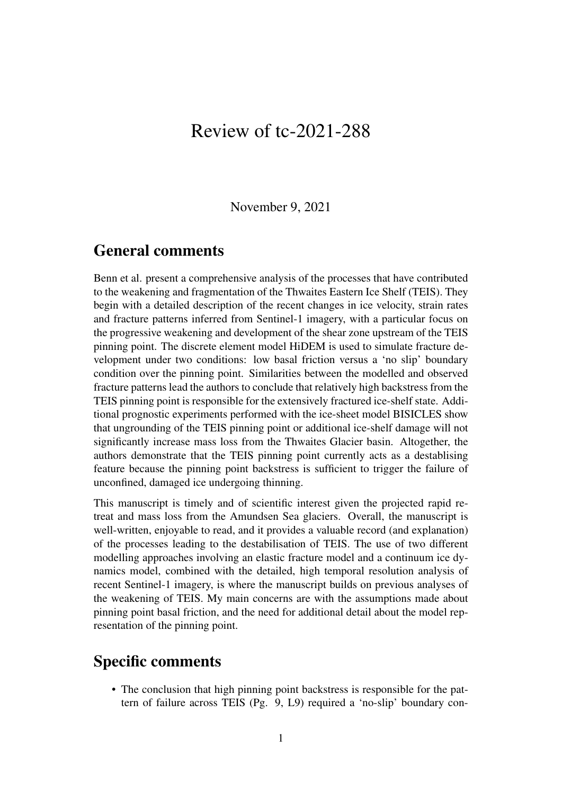## Review of tc-2021-288

November 9, 2021

## General comments

Benn et al. present a comprehensive analysis of the processes that have contributed to the weakening and fragmentation of the Thwaites Eastern Ice Shelf (TEIS). They begin with a detailed description of the recent changes in ice velocity, strain rates and fracture patterns inferred from Sentinel-1 imagery, with a particular focus on the progressive weakening and development of the shear zone upstream of the TEIS pinning point. The discrete element model HiDEM is used to simulate fracture development under two conditions: low basal friction versus a 'no slip' boundary condition over the pinning point. Similarities between the modelled and observed fracture patterns lead the authors to conclude that relatively high backstress from the TEIS pinning point is responsible for the extensively fractured ice-shelf state. Additional prognostic experiments performed with the ice-sheet model BISICLES show that ungrounding of the TEIS pinning point or additional ice-shelf damage will not significantly increase mass loss from the Thwaites Glacier basin. Altogether, the authors demonstrate that the TEIS pinning point currently acts as a destablising feature because the pinning point backstress is sufficient to trigger the failure of unconfined, damaged ice undergoing thinning.

This manuscript is timely and of scientific interest given the projected rapid retreat and mass loss from the Amundsen Sea glaciers. Overall, the manuscript is well-written, enjoyable to read, and it provides a valuable record (and explanation) of the processes leading to the destabilisation of TEIS. The use of two different modelling approaches involving an elastic fracture model and a continuum ice dynamics model, combined with the detailed, high temporal resolution analysis of recent Sentinel-1 imagery, is where the manuscript builds on previous analyses of the weakening of TEIS. My main concerns are with the assumptions made about pinning point basal friction, and the need for additional detail about the model representation of the pinning point.

## Specific comments

• The conclusion that high pinning point backstress is responsible for the pattern of failure across TEIS (Pg. 9, L9) required a 'no-slip' boundary con-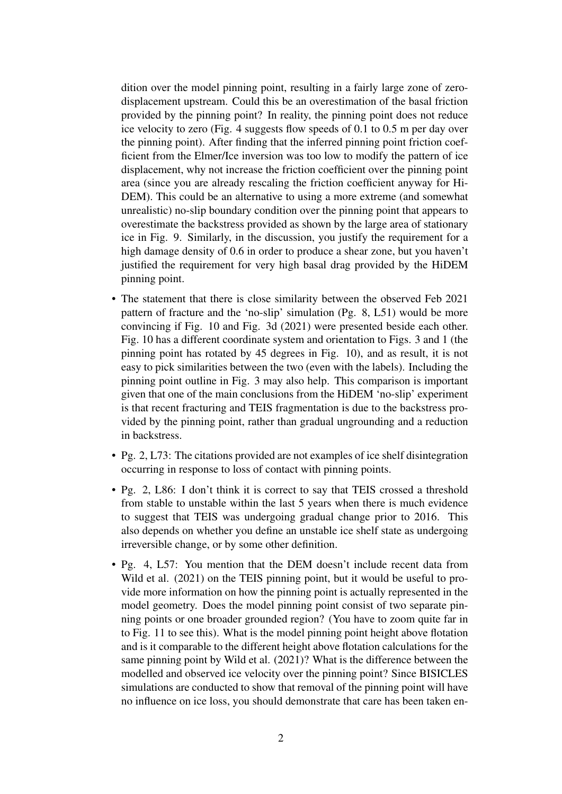dition over the model pinning point, resulting in a fairly large zone of zerodisplacement upstream. Could this be an overestimation of the basal friction provided by the pinning point? In reality, the pinning point does not reduce ice velocity to zero (Fig. 4 suggests flow speeds of 0.1 to 0.5 m per day over the pinning point). After finding that the inferred pinning point friction coefficient from the Elmer/Ice inversion was too low to modify the pattern of ice displacement, why not increase the friction coefficient over the pinning point area (since you are already rescaling the friction coefficient anyway for Hi-DEM). This could be an alternative to using a more extreme (and somewhat unrealistic) no-slip boundary condition over the pinning point that appears to overestimate the backstress provided as shown by the large area of stationary ice in Fig. 9. Similarly, in the discussion, you justify the requirement for a high damage density of 0.6 in order to produce a shear zone, but you haven't justified the requirement for very high basal drag provided by the HiDEM pinning point.

- The statement that there is close similarity between the observed Feb 2021 pattern of fracture and the 'no-slip' simulation (Pg. 8, L51) would be more convincing if Fig. 10 and Fig. 3d (2021) were presented beside each other. Fig. 10 has a different coordinate system and orientation to Figs. 3 and 1 (the pinning point has rotated by 45 degrees in Fig. 10), and as result, it is not easy to pick similarities between the two (even with the labels). Including the pinning point outline in Fig. 3 may also help. This comparison is important given that one of the main conclusions from the HiDEM 'no-slip' experiment is that recent fracturing and TEIS fragmentation is due to the backstress provided by the pinning point, rather than gradual ungrounding and a reduction in backstress.
- Pg. 2, L73: The citations provided are not examples of ice shelf disintegration occurring in response to loss of contact with pinning points.
- Pg. 2, L86: I don't think it is correct to say that TEIS crossed a threshold from stable to unstable within the last 5 years when there is much evidence to suggest that TEIS was undergoing gradual change prior to 2016. This also depends on whether you define an unstable ice shelf state as undergoing irreversible change, or by some other definition.
- Pg. 4, L57: You mention that the DEM doesn't include recent data from Wild et al. (2021) on the TEIS pinning point, but it would be useful to provide more information on how the pinning point is actually represented in the model geometry. Does the model pinning point consist of two separate pinning points or one broader grounded region? (You have to zoom quite far in to Fig. 11 to see this). What is the model pinning point height above flotation and is it comparable to the different height above flotation calculations for the same pinning point by Wild et al. (2021)? What is the difference between the modelled and observed ice velocity over the pinning point? Since BISICLES simulations are conducted to show that removal of the pinning point will have no influence on ice loss, you should demonstrate that care has been taken en-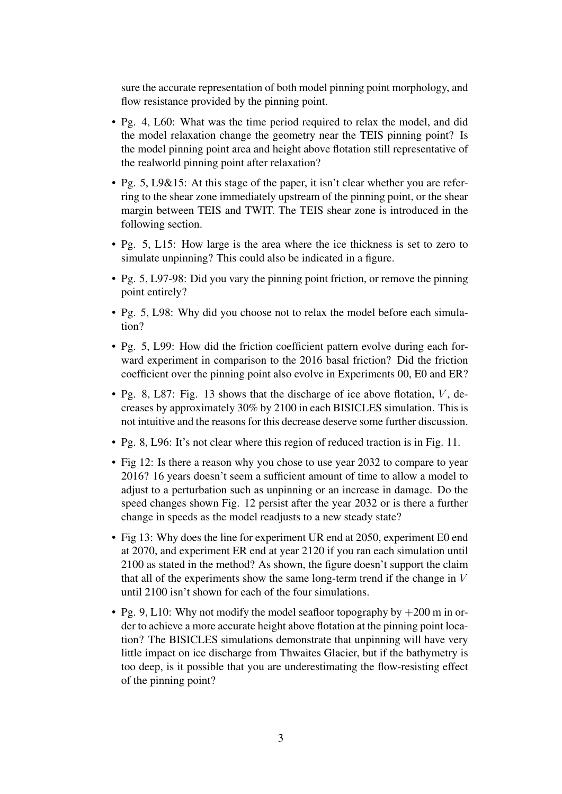sure the accurate representation of both model pinning point morphology, and flow resistance provided by the pinning point.

- Pg. 4, L60: What was the time period required to relax the model, and did the model relaxation change the geometry near the TEIS pinning point? Is the model pinning point area and height above flotation still representative of the realworld pinning point after relaxation?
- Pg. 5, L9&15: At this stage of the paper, it isn't clear whether you are referring to the shear zone immediately upstream of the pinning point, or the shear margin between TEIS and TWIT. The TEIS shear zone is introduced in the following section.
- Pg. 5, L15: How large is the area where the ice thickness is set to zero to simulate unpinning? This could also be indicated in a figure.
- Pg. 5, L97-98: Did you vary the pinning point friction, or remove the pinning point entirely?
- Pg. 5, L98: Why did you choose not to relax the model before each simulation?
- Pg. 5, L99: How did the friction coefficient pattern evolve during each forward experiment in comparison to the 2016 basal friction? Did the friction coefficient over the pinning point also evolve in Experiments 00, E0 and ER?
- Pg. 8, L87: Fig. 13 shows that the discharge of ice above flotation,  $V$ , decreases by approximately 30% by 2100 in each BISICLES simulation. This is not intuitive and the reasons for this decrease deserve some further discussion.
- Pg. 8, L96: It's not clear where this region of reduced traction is in Fig. 11.
- Fig 12: Is there a reason why you chose to use year 2032 to compare to year 2016? 16 years doesn't seem a sufficient amount of time to allow a model to adjust to a perturbation such as unpinning or an increase in damage. Do the speed changes shown Fig. 12 persist after the year 2032 or is there a further change in speeds as the model readjusts to a new steady state?
- Fig 13: Why does the line for experiment UR end at 2050, experiment E0 end at 2070, and experiment ER end at year 2120 if you ran each simulation until 2100 as stated in the method? As shown, the figure doesn't support the claim that all of the experiments show the same long-term trend if the change in  $V$ until 2100 isn't shown for each of the four simulations.
- Pg. 9, L10: Why not modify the model seafloor topography by  $+200$  m in order to achieve a more accurate height above flotation at the pinning point location? The BISICLES simulations demonstrate that unpinning will have very little impact on ice discharge from Thwaites Glacier, but if the bathymetry is too deep, is it possible that you are underestimating the flow-resisting effect of the pinning point?